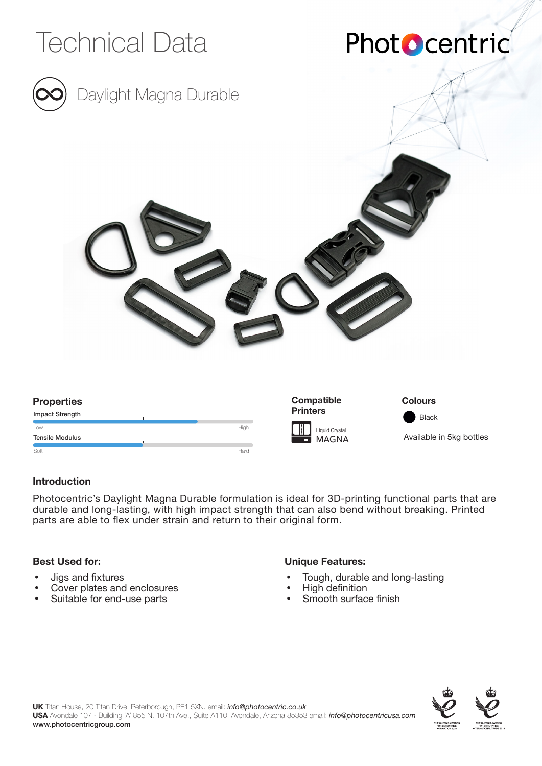

### **Introduction**

Photocentric's Daylight Magna Durable formulation is ideal for 3D-printing functional parts that are durable and long-lasting, with high impact strength that can also bend without breaking. Printed parts are able to flex under strain and return to their original form.

### **Best Used for:**

- Jigs and fixtures
- Cover plates and enclosures
- Suitable for end-use parts

### **Unique Features:**

- Tough, durable and long-lasting
- High definition
- Smooth surface finish